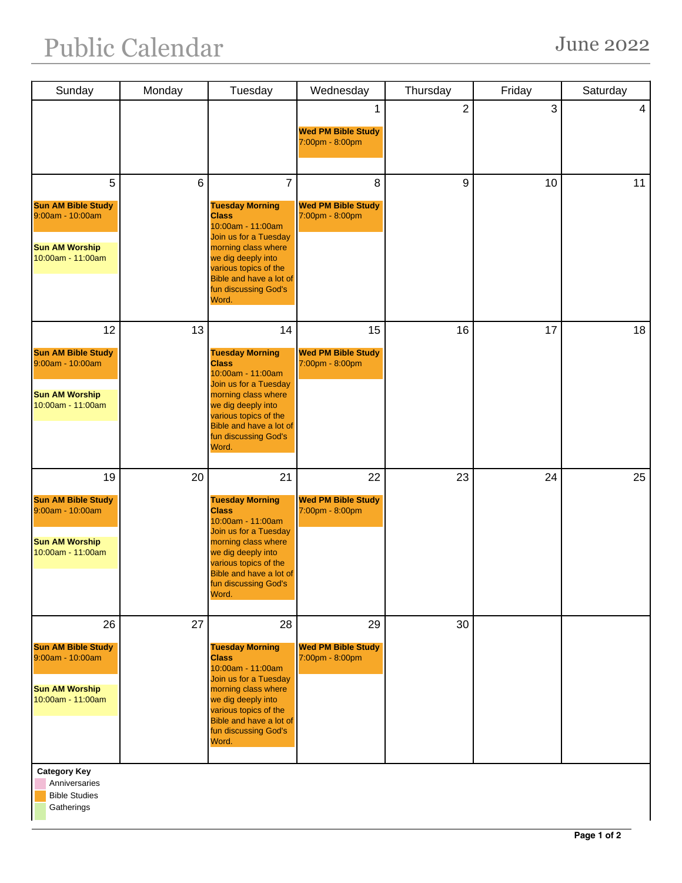| Sunday                                          | Monday         | Tuesday                                          | Wednesday                                    | Thursday       | Friday | Saturday |
|-------------------------------------------------|----------------|--------------------------------------------------|----------------------------------------------|----------------|--------|----------|
|                                                 |                |                                                  | 1                                            | $\overline{2}$ | 3      | 4        |
|                                                 |                |                                                  | <b>Wed PM Bible Study</b>                    |                |        |          |
|                                                 |                |                                                  | 7:00pm - 8:00pm                              |                |        |          |
|                                                 |                |                                                  |                                              |                |        |          |
| 5                                               | $6\phantom{1}$ | $\overline{7}$                                   | 8                                            | 9              | 10     | 11       |
| <b>Sun AM Bible Study</b><br>9:00am - 10:00am   |                | <b>Tuesday Morning</b><br><b>Class</b>           | <b>Wed PM Bible Study</b><br>7:00pm - 8:00pm |                |        |          |
|                                                 |                | 10:00am - 11:00am<br>Join us for a Tuesday       |                                              |                |        |          |
| <b>Sun AM Worship</b><br>10:00am - 11:00am      |                | morning class where<br>we dig deeply into        |                                              |                |        |          |
|                                                 |                | various topics of the<br>Bible and have a lot of |                                              |                |        |          |
|                                                 |                | fun discussing God's<br>Word.                    |                                              |                |        |          |
|                                                 |                |                                                  |                                              |                |        |          |
| 12                                              | 13             | 14                                               | 15                                           | 16             | 17     | 18       |
| <b>Sun AM Bible Study</b><br>9:00am - 10:00am   |                | <b>Tuesday Morning</b><br><b>Class</b>           | <b>Wed PM Bible Study</b><br>7:00pm - 8:00pm |                |        |          |
|                                                 |                | 10:00am - 11:00am<br>Join us for a Tuesday       |                                              |                |        |          |
| <b>Sun AM Worship</b><br>10:00am - 11:00am      |                | morning class where<br>we dig deeply into        |                                              |                |        |          |
|                                                 |                | various topics of the                            |                                              |                |        |          |
|                                                 |                | Bible and have a lot of<br>fun discussing God's  |                                              |                |        |          |
|                                                 |                | Word.                                            |                                              |                |        |          |
| 19                                              | 20             | 21                                               | 22                                           | 23             | 24     | 25       |
| <b>Sun AM Bible Study</b>                       |                | <b>Tuesday Morning</b>                           | <b>Wed PM Bible Study</b>                    |                |        |          |
| 9:00am - 10:00am                                |                | <b>Class</b><br>10:00am - 11:00am                | 7:00pm - 8:00pm                              |                |        |          |
| <b>Sun AM Worship</b>                           |                | Join us for a Tuesday<br>morning class where     |                                              |                |        |          |
| 10:00am - 11:00am                               |                | we dig deeply into<br>various topics of the      |                                              |                |        |          |
|                                                 |                | Bible and have a lot of<br>fun discussing God's  |                                              |                |        |          |
|                                                 |                | Word.                                            |                                              |                |        |          |
| 26                                              | 27             | 28                                               | 29                                           | 30             |        |          |
| <b>Sun AM Bible Study</b><br>$9:00am - 10:00am$ |                | <b>Tuesday Morning</b><br><b>Class</b>           | <b>Wed PM Bible Study</b>                    |                |        |          |
|                                                 |                | 10:00am - 11:00am                                | 7:00pm - 8:00pm                              |                |        |          |
| <b>Sun AM Worship</b>                           |                | Join us for a Tuesday<br>morning class where     |                                              |                |        |          |
| 10:00am - 11:00am                               |                | we dig deeply into<br>various topics of the      |                                              |                |        |          |
|                                                 |                | Bible and have a lot of<br>fun discussing God's  |                                              |                |        |          |
|                                                 |                | Word.                                            |                                              |                |        |          |
| <b>Category Key</b><br>Anniversaries            |                |                                                  |                                              |                |        |          |

Bible Studies

**Gatherings**